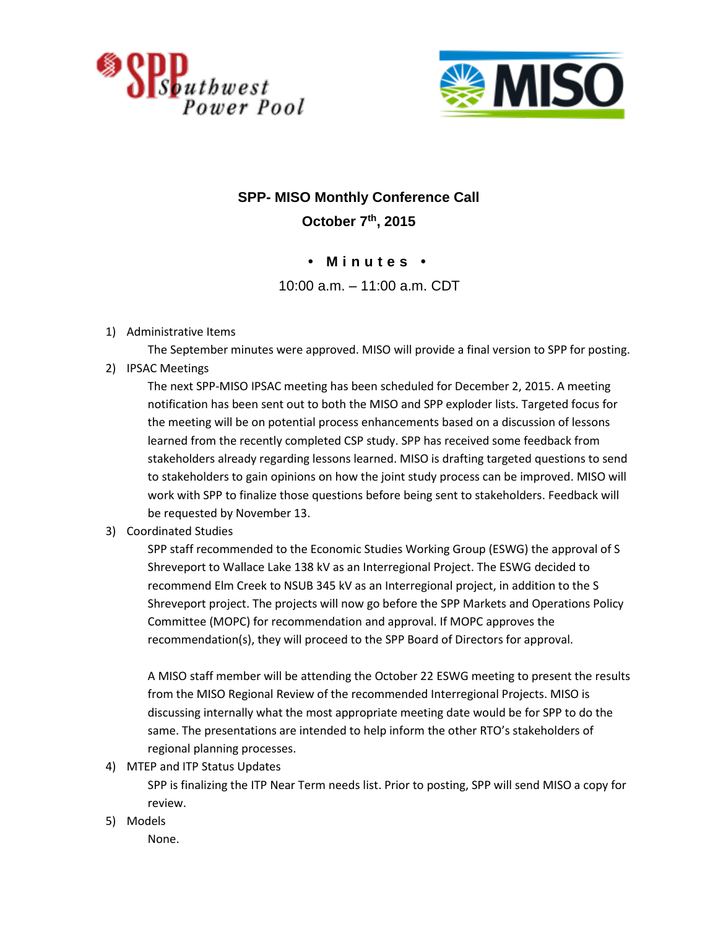



## **SPP- MISO Monthly Conference Call**

**October 7th, 2015**

## **• M i n u t e s •**

10:00 a.m. – 11:00 a.m. CDT

1) Administrative Items

The September minutes were approved. MISO will provide a final version to SPP for posting.

2) IPSAC Meetings

The next SPP-MISO IPSAC meeting has been scheduled for December 2, 2015. A meeting notification has been sent out to both the MISO and SPP exploder lists. Targeted focus for the meeting will be on potential process enhancements based on a discussion of lessons learned from the recently completed CSP study. SPP has received some feedback from stakeholders already regarding lessons learned. MISO is drafting targeted questions to send to stakeholders to gain opinions on how the joint study process can be improved. MISO will work with SPP to finalize those questions before being sent to stakeholders. Feedback will be requested by November 13.

3) Coordinated Studies

SPP staff recommended to the Economic Studies Working Group (ESWG) the approval of S Shreveport to Wallace Lake 138 kV as an Interregional Project. The ESWG decided to recommend Elm Creek to NSUB 345 kV as an Interregional project, in addition to the S Shreveport project. The projects will now go before the SPP Markets and Operations Policy Committee (MOPC) for recommendation and approval. If MOPC approves the recommendation(s), they will proceed to the SPP Board of Directors for approval.

A MISO staff member will be attending the October 22 ESWG meeting to present the results from the MISO Regional Review of the recommended Interregional Projects. MISO is discussing internally what the most appropriate meeting date would be for SPP to do the same. The presentations are intended to help inform the other RTO's stakeholders of regional planning processes.

4) MTEP and ITP Status Updates

SPP is finalizing the ITP Near Term needs list. Prior to posting, SPP will send MISO a copy for review.

5) Models

None.